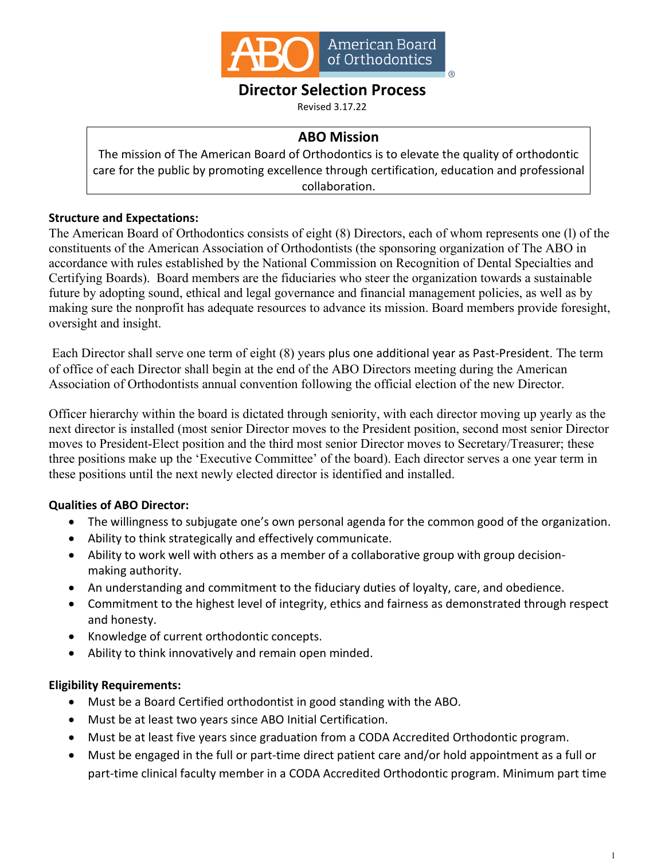

# **Director Selection Process**

Revised 3.17.22

### **ABO Mission**

The mission of The American Board of Orthodontics is to elevate the quality of orthodontic care for the public by promoting excellence through certification, education and professional collaboration.

#### **Structure and Expectations:**

The American Board of Orthodontics consists of eight (8) Directors, each of whom represents one (l) of the constituents of the American Association of Orthodontists (the sponsoring organization of The ABO in accordance with rules established by the National Commission on Recognition of Dental Specialties and Certifying Boards). Board members are the fiduciaries who steer the organization towards a sustainable future by adopting sound, ethical and legal governance and financial management policies, as well as by making sure the nonprofit has adequate resources to advance its mission. Board members provide foresight, oversight and insight.

Each Director shall serve one term of eight (8) years plus one additional year as Past-President. The term of office of each Director shall begin at the end of the ABO Directors meeting during the American Association of Orthodontists annual convention following the official election of the new Director.

Officer hierarchy within the board is dictated through seniority, with each director moving up yearly as the next director is installed (most senior Director moves to the President position, second most senior Director moves to President-Elect position and the third most senior Director moves to Secretary/Treasurer; these three positions make up the 'Executive Committee' of the board). Each director serves a one year term in these positions until the next newly elected director is identified and installed.

#### **Qualities of ABO Director:**

- The willingness to subjugate one's own personal agenda for the common good of the organization.
- Ability to think strategically and effectively communicate.
- Ability to work well with others as a member of a collaborative group with group decisionmaking authority.
- An understanding and commitment to the fiduciary duties of loyalty, care, and obedience.
- Commitment to the highest level of integrity, ethics and fairness as demonstrated through respect and honesty.
- Knowledge of current orthodontic concepts.
- Ability to think innovatively and remain open minded.

#### **Eligibility Requirements:**

- Must be a Board Certified orthodontist in good standing with the ABO.
- Must be at least two years since ABO Initial Certification.
- Must be at least five years since graduation from a CODA Accredited Orthodontic program.
- Must be engaged in the full or part-time direct patient care and/or hold appointment as a full or part-time clinical faculty member in a CODA Accredited Orthodontic program. Minimum part time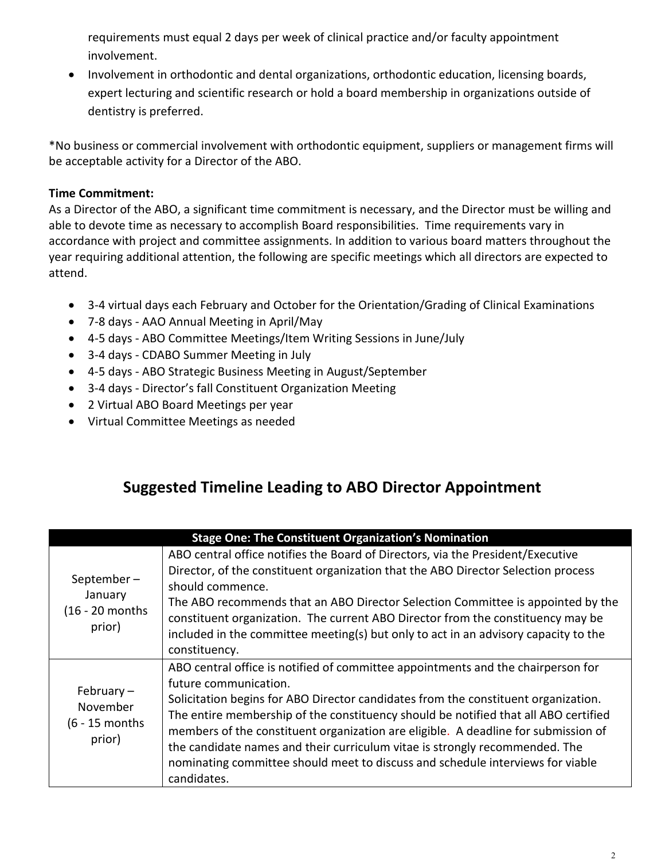requirements must equal 2 days per week of clinical practice and/or faculty appointment involvement.

• Involvement in orthodontic and dental organizations, orthodontic education, licensing boards, expert lecturing and scientific research or hold a board membership in organizations outside of dentistry is preferred.

\*No business or commercial involvement with orthodontic equipment, suppliers or management firms will be acceptable activity for a Director of the ABO.

## **Time Commitment:**

As a Director of the ABO, a significant time commitment is necessary, and the Director must be willing and able to devote time as necessary to accomplish Board responsibilities. Time requirements vary in accordance with project and committee assignments. In addition to various board matters throughout the year requiring additional attention, the following are specific meetings which all directors are expected to attend.

- 3-4 virtual days each February and October for the Orientation/Grading of Clinical Examinations
- 7-8 days AAO Annual Meeting in April/May
- 4-5 days ABO Committee Meetings/Item Writing Sessions in June/July
- 3-4 days CDABO Summer Meeting in July
- 4-5 days ABO Strategic Business Meeting in August/September
- 3-4 days Director's fall Constituent Organization Meeting
- 2 Virtual ABO Board Meetings per year
- Virtual Committee Meetings as needed

# **Suggested Timeline Leading to ABO Director Appointment**

| <b>Stage One: The Constituent Organization's Nomination</b> |                                                                                                                                                                                                                                                                                                                                                                                                                                                                                                                                                              |  |
|-------------------------------------------------------------|--------------------------------------------------------------------------------------------------------------------------------------------------------------------------------------------------------------------------------------------------------------------------------------------------------------------------------------------------------------------------------------------------------------------------------------------------------------------------------------------------------------------------------------------------------------|--|
| September-<br>January<br>(16 - 20 months<br>prior)          | ABO central office notifies the Board of Directors, via the President/Executive<br>Director, of the constituent organization that the ABO Director Selection process<br>should commence.<br>The ABO recommends that an ABO Director Selection Committee is appointed by the<br>constituent organization. The current ABO Director from the constituency may be<br>included in the committee meeting(s) but only to act in an advisory capacity to the<br>constituency.                                                                                       |  |
| February $-$<br>November<br>$(6 - 15$ months<br>prior)      | ABO central office is notified of committee appointments and the chairperson for<br>future communication.<br>Solicitation begins for ABO Director candidates from the constituent organization.<br>The entire membership of the constituency should be notified that all ABO certified<br>members of the constituent organization are eligible. A deadline for submission of<br>the candidate names and their curriculum vitae is strongly recommended. The<br>nominating committee should meet to discuss and schedule interviews for viable<br>candidates. |  |